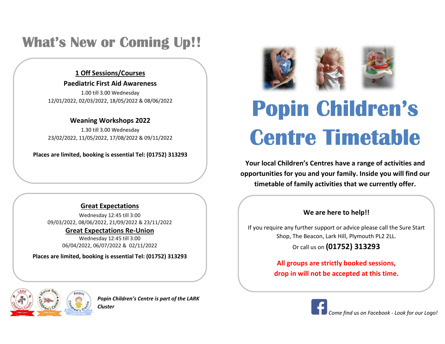### What's New or Coming Up!!

#### 1 Off Sessions/Courses

#### Paediatric First Aid Awareness

1.00 till 3.00 Wednesday 12/01/2022, 02/03/2022, 18/05/2022 & 08/06/2022

#### Weaning Workshops 2022

 23/02/2022, 11/05/2022, 17/08/2022 & 09/11/2022 1.30 till 3.00 Wednesday

Places are limited, booking is essential Tel: (01752) 313293

#### Great Expectations

Wednesday 12:45 till 3:00 09/03/2022, 08/06/2022, 21/09/2022 & 23/11/2022

Great Expectations Re-Union

Wednesday 12:45 till 3:00 06/04/2022, 06/07/2022 & 02/11/2022

Places are limited, booking is essential Tel: (01752) 313293



Popin Children's Centre is part of the LARK Cluster



## Popin Children's Centre Timetable

Your local Children's Centres have a range of activities and opportunities for you and your family. Inside you will find our timetable of family activities that we currently offer.

#### We are here to help!!

If you require any further support or advice please call the Sure Start Shop, The Beacon, Lark Hill, Plymouth PL2 2LL.

Or call us on (01752) 313293

All groups are strictly booked sessions, drop in will not be accepted at this time.